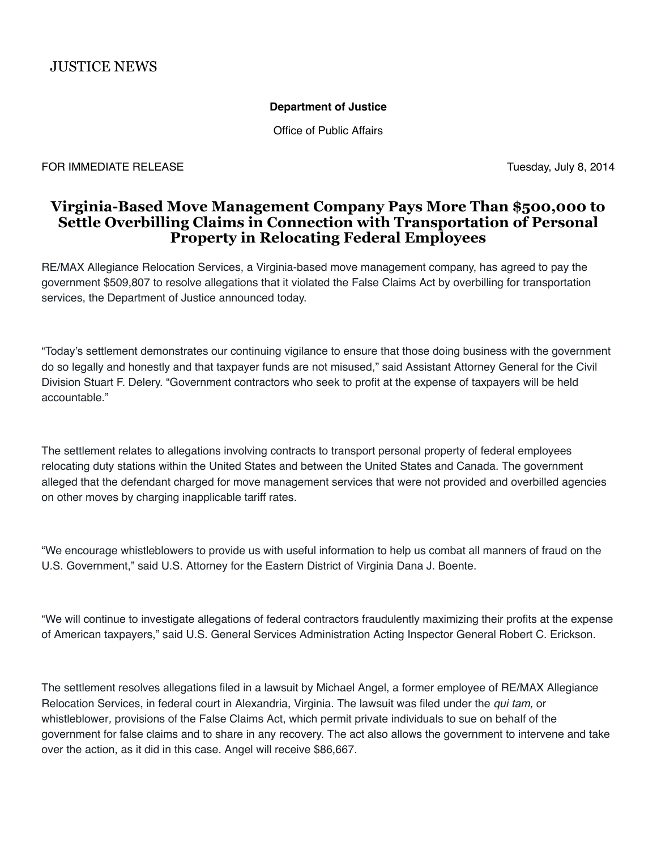## **Department of Justice**

Office of Public Affairs

FOR IMMEDIATE RELEASE Tuesday, July 8, 2014

## **Virginia-Based Move Management Company Pays More Than \$500,000 to Settle Overbilling Claims in Connection with Transportation of Personal Property in Relocating Federal Employees**

RE/MAX Allegiance Relocation Services, a Virginia-based move management company, has agreed to pay the government \$509,807 to resolve allegations that it violated the False Claims Act by overbilling for transportation services, the Department of Justice announced today.

"Today's settlement demonstrates our continuing vigilance to ensure that those doing business with the government do so legally and honestly and that taxpayer funds are not misused," said Assistant Attorney General for the Civil Division Stuart F. Delery. "Government contractors who seek to profit at the expense of taxpayers will be held accountable."

The settlement relates to allegations involving contracts to transport personal property of federal employees relocating duty stations within the United States and between the United States and Canada. The government alleged that the defendant charged for move management services that were not provided and overbilled agencies on other moves by charging inapplicable tariff rates.

"We encourage whistleblowers to provide us with useful information to help us combat all manners of fraud on the U.S. Government," said U.S. Attorney for the Eastern District of Virginia Dana J. Boente.

"We will continue to investigate allegations of federal contractors fraudulently maximizing their profits at the expense of American taxpayers," said U.S. General Services Administration Acting Inspector General Robert C. Erickson.

The settlement resolves allegations filed in a lawsuit by Michael Angel, a former employee of RE/MAX Allegiance Relocation Services, in federal court in Alexandria, Virginia. The lawsuit was filed under the *qui tam,* or whistleblower*,* provisions of the False Claims Act, which permit private individuals to sue on behalf of the government for false claims and to share in any recovery. The act also allows the government to intervene and take over the action, as it did in this case. Angel will receive \$86,667.